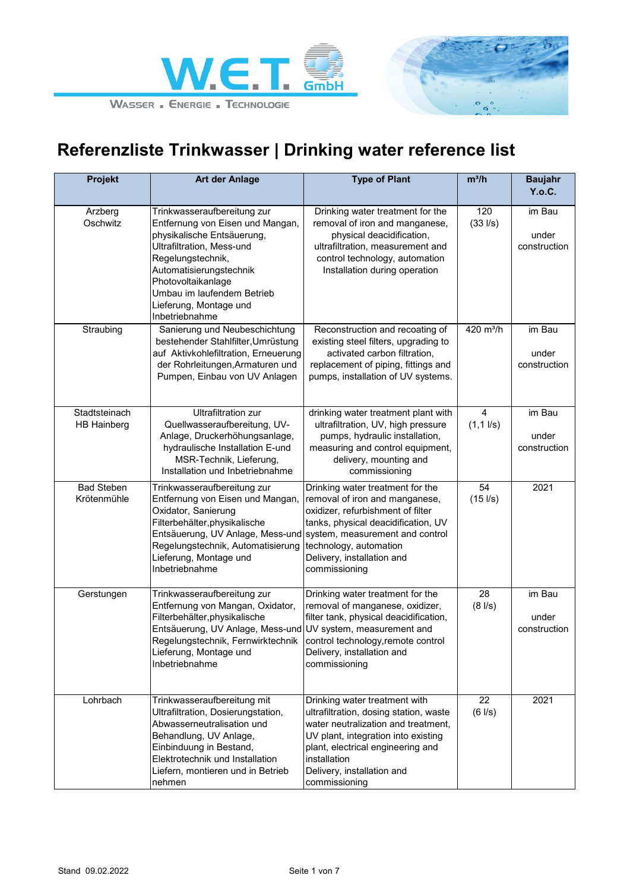



| <b>Projekt</b>                      | Art der Anlage                                                                                                                                                                                                                                                             | <b>Type of Plant</b>                                                                                                                                                                                                                                       | $m^3/h$                     | <b>Baujahr</b><br>Y.o.C.        |
|-------------------------------------|----------------------------------------------------------------------------------------------------------------------------------------------------------------------------------------------------------------------------------------------------------------------------|------------------------------------------------------------------------------------------------------------------------------------------------------------------------------------------------------------------------------------------------------------|-----------------------------|---------------------------------|
| Arzberg<br>Oschwitz                 | Trinkwasseraufbereitung zur<br>Entfernung von Eisen und Mangan,<br>physikalische Entsäuerung,<br>Ultrafiltration, Mess-und<br>Regelungstechnik,<br>Automatisierungstechnik<br>Photovoltaikanlage<br>Umbau im laufendem Betrieb<br>Lieferung, Montage und<br>Inbetriebnahme | Drinking water treatment for the<br>removal of iron and manganese,<br>physical deacidification,<br>ultrafiltration, measurement and<br>control technology, automation<br>Installation during operation                                                     | 120<br>$(33 \, \text{I/s})$ | im Bau<br>under<br>construction |
| Straubing                           | Sanierung und Neubeschichtung<br>bestehender Stahlfilter, Umrüstung<br>auf Aktivkohlefiltration, Erneuerung<br>der Rohrleitungen, Armaturen und<br>Pumpen, Einbau von UV Anlagen                                                                                           | Reconstruction and recoating of<br>existing steel filters, upgrading to<br>activated carbon filtration,<br>replacement of piping, fittings and<br>pumps, installation of UV systems.                                                                       | 420 m <sup>3</sup> /h       | im Bau<br>under<br>construction |
| Stadtsteinach<br><b>HB Hainberg</b> | <b>Ultrafiltration zur</b><br>Quellwasseraufbereitung, UV-<br>Anlage, Druckerhöhungsanlage,<br>hydraulische Installation E-und<br>MSR-Technik, Lieferung,<br>Installation und Inbetriebnahme                                                                               | drinking water treatment plant with<br>ultrafiltration, UV, high pressure<br>pumps, hydraulic installation,<br>measuring and control equipment,<br>delivery, mounting and<br>commissioning                                                                 | 4<br>$(1, 1 \, \text{l/s})$ | im Bau<br>under<br>construction |
| <b>Bad Steben</b><br>Krötenmühle    | Trinkwasseraufbereitung zur<br>Entfernung von Eisen und Mangan,<br>Oxidator, Sanierung<br>Filterbehälter, physikalische<br>Entsäuerung, UV Anlage, Mess-und<br>Regelungstechnik, Automatisierung<br>Lieferung, Montage und<br>Inbetriebnahme                               | Drinking water treatment for the<br>removal of iron and manganese,<br>oxidizer, refurbishment of filter<br>tanks, physical deacidification, UV<br>system, measurement and control<br>technology, automation<br>Delivery, installation and<br>commissioning | 54<br>$(15$ $1/s)$          | 2021                            |
| Gerstungen                          | Trinkwasseraufbereitung zur<br>Entfernung von Mangan, Oxidator,<br>Filterbehälter, physikalische<br>Entsäuerung, UV Anlage, Mess-und UV system, measurement and<br>Regelungstechnik, Fernwirktechnik<br>Lieferung, Montage und<br>Inbetriebnahme                           | Drinking water treatment for the<br>removal of manganese, oxidizer,<br>filter tank, physical deacidification,<br>control technology, remote control<br>Delivery, installation and<br>commissioning                                                         | 28<br>$(8$ $\frac{1}{s})$   | im Bau<br>under<br>construction |
| Lohrbach                            | Trinkwasseraufbereitung mit<br>Ultrafiltration, Dosierungstation,<br>Abwasserneutralisation und<br>Behandlung, UV Anlage,<br>Einbinduung in Bestand,<br>Elektrotechnik und Installation<br>Liefern, montieren und in Betrieb<br>nehmen                                     | Drinking water treatment with<br>ultrafiltration, dosing station, waste<br>water neutralization and treatment,<br>UV plant, integration into existing<br>plant, electrical engineering and<br>installation<br>Delivery, installation and<br>commissioning  | 22<br>$(6$ $1/s)$           | 2021                            |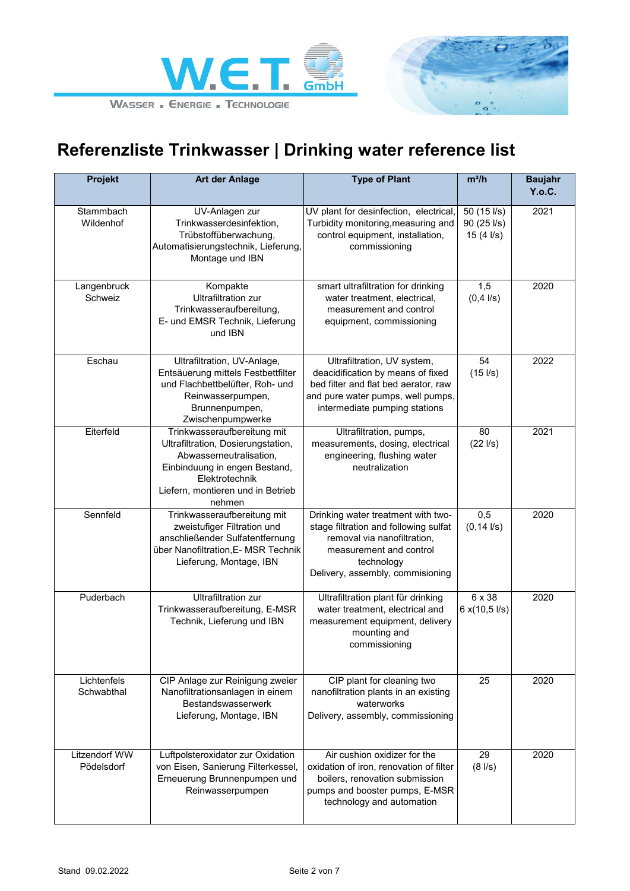



| Projekt                            | Art der Anlage                                                                                                                                                                                 | <b>Type of Plant</b>                                                                                                                                                                    | $m^3/h$                                         | <b>Baujahr</b><br>Y.o.C. |
|------------------------------------|------------------------------------------------------------------------------------------------------------------------------------------------------------------------------------------------|-----------------------------------------------------------------------------------------------------------------------------------------------------------------------------------------|-------------------------------------------------|--------------------------|
| Stammbach<br>Wildenhof             | UV-Anlagen zur<br>Trinkwasserdesinfektion,<br>Trübstoffüberwachung,<br>Automatisierungstechnik, Lieferung,<br>Montage und IBN                                                                  | UV plant for desinfection, electrical,<br>Turbidity monitoring, measuring and<br>control equipment, installation,<br>commissioning                                                      | 50(151/s)<br>$90(25$ $\frac{1}{s})$<br>15(41/s) | 2021                     |
| Langenbruck<br>Schweiz             | Kompakte<br><b>Ultrafiltration zur</b><br>Trinkwasseraufbereitung,<br>E- und EMSR Technik, Lieferung<br>und IBN                                                                                | smart ultrafiltration for drinking<br>water treatment, electrical,<br>measurement and control<br>equipment, commissioning                                                               | 1,5<br>$(0,4$ $I/s)$                            | 2020                     |
| Eschau                             | Ultrafiltration, UV-Anlage,<br>Entsäuerung mittels Festbettfilter<br>und Flachbettbelüfter, Roh- und<br>Reinwasserpumpen,<br>Brunnenpumpen,<br>Zwischenpumpwerke                               | Ultrafiltration, UV system,<br>deacidification by means of fixed<br>bed filter and flat bed aerator, raw<br>and pure water pumps, well pumps,<br>intermediate pumping stations          | 54<br>$(15$ $1/s)$                              | 2022                     |
| Eiterfeld                          | Trinkwasseraufbereitung mit<br>Ultrafiltration, Dosierungstation,<br>Abwasserneutralisation,<br>Einbinduung in engen Bestand,<br>Elektrotechnik<br>Liefern, montieren und in Betrieb<br>nehmen | Ultrafiltration, pumps,<br>measurements, dosing, electrical<br>engineering, flushing water<br>neutralization                                                                            | 80<br>$(22$ $1/s)$                              | 2021                     |
| Sennfeld                           | Trinkwasseraufbereitung mit<br>zweistufiger Filtration und<br>anschließender Sulfatentfernung<br>über Nanofiltration, E- MSR Technik<br>Lieferung, Montage, IBN                                | Drinking water treatment with two-<br>stage filtration and following sulfat<br>removal via nanofiltration,<br>measurement and control<br>technology<br>Delivery, assembly, commisioning | 0,5<br>$(0, 14$ $1/s)$                          | 2020                     |
| Puderbach                          | <b>Ultrafiltration zur</b><br>Trinkwasseraufbereitung, E-MSR<br>Technik, Lieferung und IBN                                                                                                     | Ultrafiltration plant für drinking<br>water treatment, electrical and<br>measurement equipment, delivery<br>mounting and<br>commissioning                                               | 6 x 38<br>6x(10,51/s)                           | 2020                     |
| Lichtenfels<br>Schwabthal          | CIP Anlage zur Reinigung zweier<br>Nanofiltrationsanlagen in einem<br>Bestandswasserwerk<br>Lieferung, Montage, IBN                                                                            | CIP plant for cleaning two<br>nanofiltration plants in an existing<br>waterworks<br>Delivery, assembly, commissioning                                                                   | 25                                              | 2020                     |
| <b>Litzendorf WW</b><br>Pödelsdorf | Luftpolsteroxidator zur Oxidation<br>von Eisen, Sanierung Filterkessel,<br>Erneuerung Brunnenpumpen und<br>Reinwasserpumpen                                                                    | Air cushion oxidizer for the<br>oxidation of iron, renovation of filter<br>boilers, renovation submission<br>pumps and booster pumps, E-MSR<br>technology and automation                | 29<br>$(8$ $\frac{1}{s})$                       | 2020                     |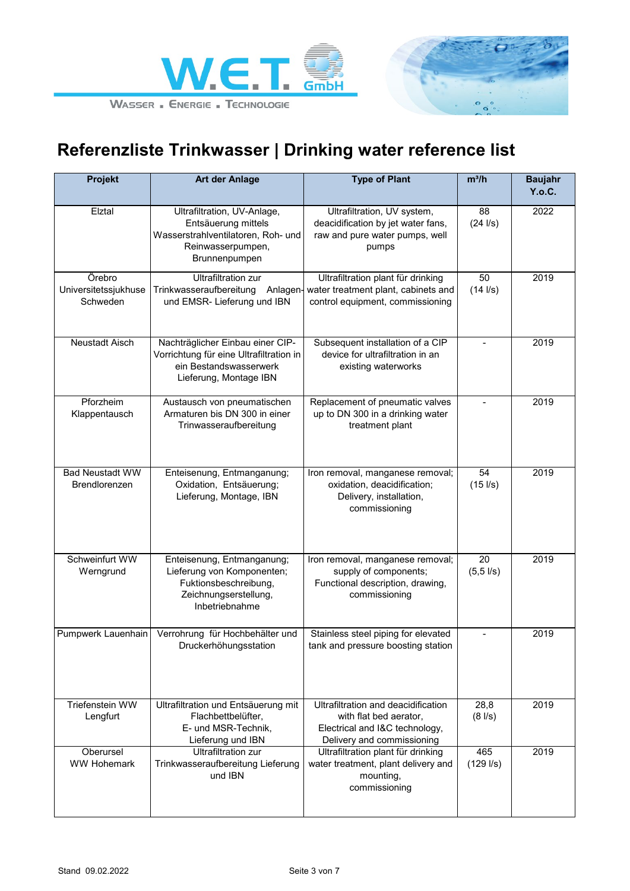



| Projekt                                    | <b>Art der Anlage</b>                                                                                                           | <b>Type of Plant</b>                                                                                                          | $m^3/h$                     | <b>Baujahr</b><br>Y.o.C. |
|--------------------------------------------|---------------------------------------------------------------------------------------------------------------------------------|-------------------------------------------------------------------------------------------------------------------------------|-----------------------------|--------------------------|
| Elztal                                     | Ultrafiltration, UV-Anlage,<br>Entsäuerung mittels<br>Wasserstrahlventilatoren, Roh- und<br>Reinwasserpumpen,<br>Brunnenpumpen  | Ultrafiltration, UV system,<br>deacidification by jet water fans,<br>raw and pure water pumps, well<br>pumps                  | 88<br>$(24$ $1/s)$          | 2022                     |
| Örebro<br>Universitetssjukhuse<br>Schweden | <b>Ultrafiltration zur</b><br>Trinkwasseraufbereitung<br>Anlagen-<br>und EMSR- Lieferung und IBN                                | Ultrafiltration plant für drinking<br>water treatment plant, cabinets and<br>control equipment, commissioning                 | 50<br>$(14$ $1/s)$          | 2019                     |
| Neustadt Aisch                             | Nachträglicher Einbau einer CIP-<br>Vorrichtung für eine Ultrafiltration in<br>ein Bestandswasserwerk<br>Lieferung, Montage IBN | Subsequent installation of a CIP<br>device for ultrafiltration in an<br>existing waterworks                                   | $\blacksquare$              | 2019                     |
| Pforzheim<br>Klappentausch                 | Austausch von pneumatischen<br>Armaturen bis DN 300 in einer<br>Trinwasseraufbereitung                                          | Replacement of pneumatic valves<br>up to DN 300 in a drinking water<br>treatment plant                                        |                             | 2019                     |
| <b>Bad Neustadt WW</b><br>Brendlorenzen    | Enteisenung, Entmanganung;<br>Oxidation, Entsäuerung;<br>Lieferung, Montage, IBN                                                | Iron removal, manganese removal;<br>oxidation, deacidification;<br>Delivery, installation,<br>commissioning                   | 54<br>$(15$ $1/s)$          | 2019                     |
| Schweinfurt WW<br>Werngrund                | Enteisenung, Entmanganung;<br>Lieferung von Komponenten;<br>Fuktionsbeschreibung,<br>Zeichnungserstellung,<br>Inbetriebnahme    | Iron removal, manganese removal;<br>supply of components;<br>Functional description, drawing,<br>commissioning                | 20<br>$(5, 5 \text{ l/s})$  | 2019                     |
| Pumpwerk Lauenhain                         | Verrohrung für Hochbehälter und<br>Druckerhöhungsstation                                                                        | Stainless steel piping for elevated<br>tank and pressure boosting station                                                     |                             | 2019                     |
| Triefenstein WW<br>Lengfurt                | Ultrafiltration und Entsäuerung mit<br>Flachbettbelüfter,<br>E- und MSR-Technik,<br>Lieferung und IBN                           | Ultrafiltration and deacidification<br>with flat bed aerator,<br>Electrical and I&C technology,<br>Delivery and commissioning | 28,8<br>$(8 \, \text{I/s})$ | 2019                     |
| Oberursel<br><b>WW Hohemark</b>            | <b>Ultrafiltration zur</b><br>Trinkwasseraufbereitung Lieferung<br>und IBN                                                      | Ultrafiltration plant für drinking<br>water treatment, plant delivery and<br>mounting,<br>commissioning                       | 465<br>$(129$ $1/s)$        | 2019                     |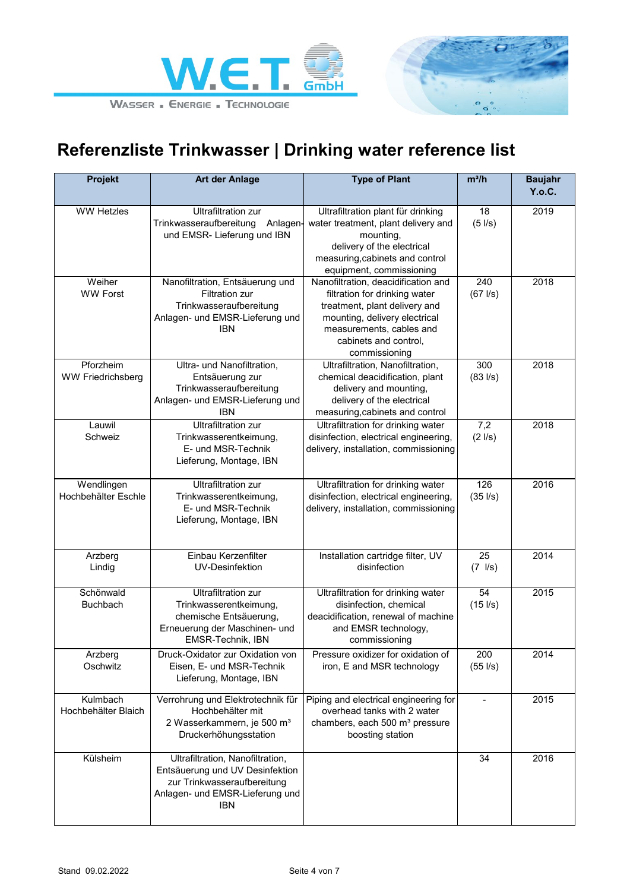



| Projekt                               | <b>Art der Anlage</b>                                                                                                                        | <b>Type of Plant</b>                                                                                                                                           | $m^3/h$                         | <b>Baujahr</b><br>Y.o.C. |
|---------------------------------------|----------------------------------------------------------------------------------------------------------------------------------------------|----------------------------------------------------------------------------------------------------------------------------------------------------------------|---------------------------------|--------------------------|
| <b>WW Hetzles</b>                     | <b>Ultrafiltration zur</b>                                                                                                                   | Ultrafiltration plant für drinking                                                                                                                             | 18                              | 2019                     |
|                                       | Trinkwasseraufbereitung<br>Anlagen-<br>und EMSR- Lieferung und IBN                                                                           | water treatment, plant delivery and<br>mounting,                                                                                                               | $(5$ $I/s)$                     |                          |
|                                       |                                                                                                                                              | delivery of the electrical<br>measuring, cabinets and control                                                                                                  |                                 |                          |
| Weiher                                | Nanofiltration, Entsäuerung und                                                                                                              | equipment, commissioning<br>Nanofiltration, deacidification and                                                                                                | 240                             | 2018                     |
| <b>WW Forst</b>                       | <b>Filtration zur</b><br>Trinkwasseraufbereitung<br>Anlagen- und EMSR-Lieferung und<br><b>IBN</b>                                            | filtration for drinking water<br>treatment, plant delivery and<br>mounting, delivery electrical<br>measurements, cables and<br>cabinets and control,           | $(67$ $1/s)$                    |                          |
|                                       |                                                                                                                                              | commissioning                                                                                                                                                  |                                 |                          |
| Pforzheim<br><b>WW Friedrichsberg</b> | Ultra- und Nanofiltration,<br>Entsäuerung zur<br>Trinkwasseraufbereitung<br>Anlagen- und EMSR-Lieferung und<br><b>IBN</b>                    | Ultrafiltration, Nanofiltration,<br>chemical deacidification, plant<br>delivery and mounting,<br>delivery of the electrical<br>measuring, cabinets and control | 300<br>$(83$ $1/s)$             | 2018                     |
| Lauwil<br>Schweiz                     | <b>Ultrafiltration zur</b><br>Trinkwasserentkeimung,<br>E- und MSR-Technik<br>Lieferung, Montage, IBN                                        | Ultrafiltration for drinking water<br>disinfection, electrical engineering,<br>delivery, installation, commissioning                                           | $\overline{7,2}$<br>$(2$ $I/s)$ | 2018                     |
| Wendlingen<br>Hochbehälter Eschle     | <b>Ultrafiltration zur</b><br>Trinkwasserentkeimung,<br>E- und MSR-Technik<br>Lieferung, Montage, IBN                                        | Ultrafiltration for drinking water<br>disinfection, electrical engineering,<br>delivery, installation, commissioning                                           | 126<br>$(35 \;$ I/s)            | 2016                     |
| Arzberg<br>Lindig                     | Einbau Kerzenfilter<br>UV-Desinfektion                                                                                                       | Installation cartridge filter, UV<br>disinfection                                                                                                              | 25<br>$(7 \text{ l/s})$         | 2014                     |
| Schönwald<br><b>Buchbach</b>          | <b>Ultrafiltration zur</b><br>Trinkwasserentkeimung,<br>chemische Entsäuerung,<br>Erneuerung der Maschinen- und<br>EMSR-Technik, IBN         | Ultrafiltration for drinking water<br>disinfection, chemical<br>deacidification, renewal of machine<br>and EMSR technology,<br>commissioning                   | 54<br>$(15$ $1/s)$              | 2015                     |
| Arzberg<br>Oschwitz                   | Druck-Oxidator zur Oxidation von<br>Eisen, E- und MSR-Technik<br>Lieferung, Montage, IBN                                                     | Pressure oxidizer for oxidation of<br>iron, E and MSR technology                                                                                               | 200<br>$(55$ $1/s)$             | 2014                     |
| Kulmbach<br>Hochbehälter Blaich       | Verrohrung und Elektrotechnik für<br>Hochbehälter mit<br>2 Wasserkammern, je 500 m <sup>3</sup><br>Druckerhöhungsstation                     | Piping and electrical engineering for<br>overhead tanks with 2 water<br>chambers, each 500 m <sup>3</sup> pressure<br>boosting station                         | $\blacksquare$                  | 2015                     |
| Külsheim                              | Ultrafiltration, Nanofiltration,<br>Entsäuerung und UV Desinfektion<br>zur Trinkwasseraufbereitung<br>Anlagen- und EMSR-Lieferung und<br>IBN |                                                                                                                                                                | 34                              | 2016                     |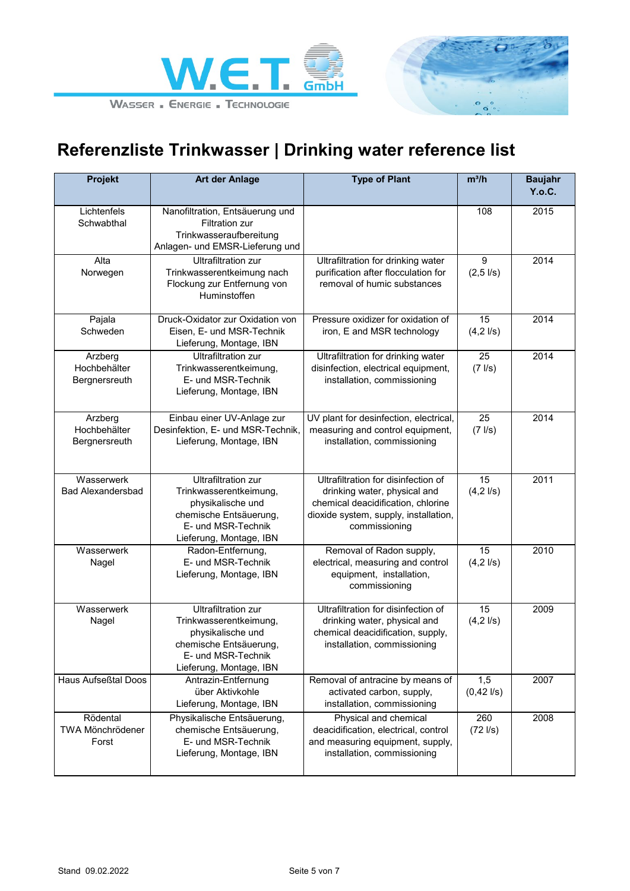



| <b>Projekt</b>                           | <b>Art der Anlage</b>                                                                                                                                | <b>Type of Plant</b>                                                                                                                                                | $m^3/h$                               | <b>Baujahr</b><br>Y.o.C. |
|------------------------------------------|------------------------------------------------------------------------------------------------------------------------------------------------------|---------------------------------------------------------------------------------------------------------------------------------------------------------------------|---------------------------------------|--------------------------|
| Lichtenfels<br>Schwabthal                | Nanofiltration, Entsäuerung und<br><b>Filtration zur</b><br>Trinkwasseraufbereitung<br>Anlagen- und EMSR-Lieferung und                               |                                                                                                                                                                     | 108                                   | 2015                     |
| Alta<br>Norwegen                         | <b>Ultrafiltration zur</b><br>Trinkwasserentkeimung nach<br>Flockung zur Entfernung von<br>Huminstoffen                                              | Ultrafiltration for drinking water<br>purification after flocculation for<br>removal of humic substances                                                            | 9<br>$(2, 5 \text{ l/s})$             | 2014                     |
| Pajala<br>Schweden                       | Druck-Oxidator zur Oxidation von<br>Eisen, E- und MSR-Technik<br>Lieferung, Montage, IBN                                                             | Pressure oxidizer for oxidation of<br>iron, E and MSR technology                                                                                                    | $\overline{15}$<br>$(4, 2 \,$ I/s $)$ | 2014                     |
| Arzberg<br>Hochbehälter<br>Bergnersreuth | <b>Ultrafiltration zur</b><br>Trinkwasserentkeimung,<br>E- und MSR-Technik<br>Lieferung, Montage, IBN                                                | Ultrafiltration for drinking water<br>disinfection, electrical equipment,<br>installation, commissioning                                                            | 25<br>$(7$ $\text{I/s})$              | 2014                     |
| Arzberg<br>Hochbehälter<br>Bergnersreuth | Einbau einer UV-Anlage zur<br>Desinfektion, E- und MSR-Technik,<br>Lieferung, Montage, IBN                                                           | UV plant for desinfection, electrical,<br>measuring and control equipment,<br>installation, commissioning                                                           | 25<br>$(7$ $I/s)$                     | 2014                     |
| Wasserwerk<br><b>Bad Alexandersbad</b>   | <b>Ultrafiltration zur</b><br>Trinkwasserentkeimung,<br>physikalische und<br>chemische Entsäuerung,<br>E- und MSR-Technik<br>Lieferung, Montage, IBN | Ultrafiltration for disinfection of<br>drinking water, physical and<br>chemical deacidification, chlorine<br>dioxide system, supply, installation,<br>commissioning | 15<br>$(4, 2 \, \text{I/s})$          | 2011                     |
| Wasserwerk<br>Nagel                      | Radon-Entfernung,<br>E- und MSR-Technik<br>Lieferung, Montage, IBN                                                                                   | Removal of Radon supply,<br>electrical, measuring and control<br>equipment, installation,<br>commissioning                                                          | 15<br>$(4, 2 \, \text{I/s})$          | 2010                     |
| Wasserwerk<br>Nagel                      | <b>Ultrafiltration zur</b><br>Trinkwasserentkeimung,<br>physikalische und<br>chemische Entsäuerung,<br>E- und MSR-Technik<br>Lieferung, Montage, IBN | Ultrafiltration for disinfection of<br>drinking water, physical and<br>chemical deacidification, supply,<br>installation, commissioning                             | 15<br>$(4, 2 \, \text{I/s})$          | 2009                     |
| Haus Aufseßtal Doos                      | Antrazin-Entfernung<br>über Aktivkohle<br>Lieferung, Montage, IBN                                                                                    | Removal of antracine by means of<br>activated carbon, supply,<br>installation, commissioning                                                                        | 1,5<br>$(0,42$ $1/s)$                 | 2007                     |
| Rödental<br>TWA Mönchrödener<br>Forst    | Physikalische Entsäuerung,<br>chemische Entsäuerung,<br>E- und MSR-Technik<br>Lieferung, Montage, IBN                                                | Physical and chemical<br>deacidification, electrical, control<br>and measuring equipment, supply,<br>installation, commissioning                                    | 260<br>$(72$ $1/s)$                   | 2008                     |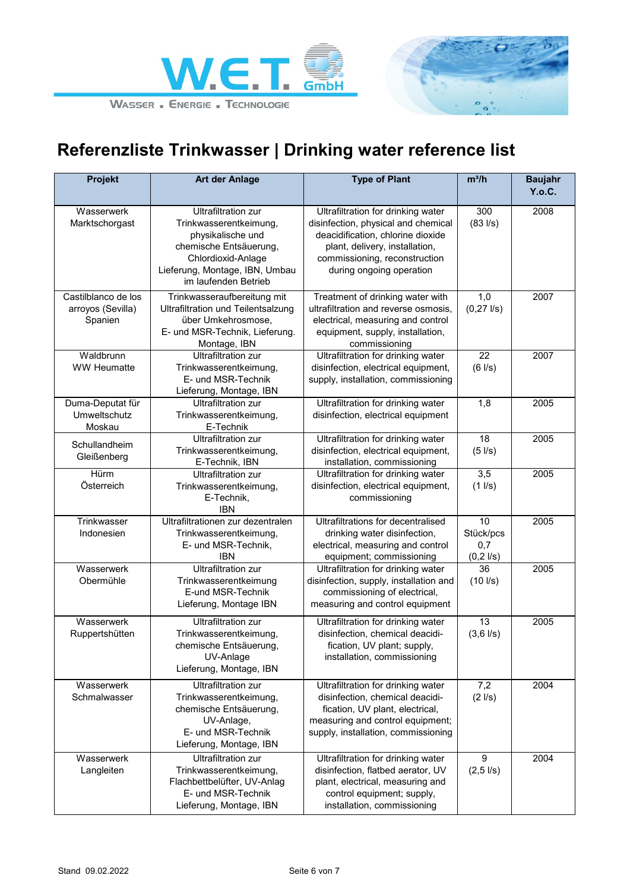



| <b>Projekt</b>                                      | <b>Art der Anlage</b>                                                                                                                                                               | <b>Type of Plant</b>                                                                                                                                                                                          | $m^3/h$                                          | <b>Baujahr</b> |
|-----------------------------------------------------|-------------------------------------------------------------------------------------------------------------------------------------------------------------------------------------|---------------------------------------------------------------------------------------------------------------------------------------------------------------------------------------------------------------|--------------------------------------------------|----------------|
|                                                     |                                                                                                                                                                                     |                                                                                                                                                                                                               |                                                  | Y.o.C.         |
| Wasserwerk<br>Marktschorgast                        | <b>Ultrafiltration zur</b><br>Trinkwasserentkeimung,<br>physikalische und<br>chemische Entsäuerung,<br>Chlordioxid-Anlage<br>Lieferung, Montage, IBN, Umbau<br>im laufenden Betrieb | Ultrafiltration for drinking water<br>disinfection, physical and chemical<br>deacidification, chlorine dioxide<br>plant, delivery, installation,<br>commissioning, reconstruction<br>during ongoing operation | 300<br>$(83 \, \text{I/s})$                      | 2008           |
| Castilblanco de los<br>arroyos (Sevilla)<br>Spanien | Trinkwasseraufbereitung mit<br><b>Ultrafiltration und Teilentsalzung</b><br>über Umkehrosmose,<br>E- und MSR-Technik, Lieferung.<br>Montage, IBN                                    | Treatment of drinking water with<br>ultrafiltration and reverse osmosis,<br>electrical, measuring and control<br>equipment, supply, installation,<br>commissioning                                            | 1,0<br>$(0, 27 \frac{\text{I}}{\text{s}})$       | 2007           |
| Waldbrunn<br><b>WW Heumatte</b>                     | <b>Ultrafiltration zur</b><br>Trinkwasserentkeimung,<br>E- und MSR-Technik<br>Lieferung, Montage, IBN                                                                               | Ultrafiltration for drinking water<br>disinfection, electrical equipment,<br>supply, installation, commissioning                                                                                              | 22<br>$(6$ $1/s)$                                | 2007           |
| Duma-Deputat für<br>Umweltschutz<br>Moskau          | <b>Ultrafiltration zur</b><br>Trinkwasserentkeimung,<br>E-Technik                                                                                                                   | Ultrafiltration for drinking water<br>disinfection, electrical equipment                                                                                                                                      | 1,8                                              | 2005           |
| Schullandheim<br>Gleißenberg                        | <b>Ultrafiltration zur</b><br>Trinkwasserentkeimung,<br>E-Technik, IBN                                                                                                              | Ultrafiltration for drinking water<br>disinfection, electrical equipment,<br>installation, commissioning                                                                                                      | 18<br>$(5$ $I/s)$                                | 2005           |
| Hürm<br>Österreich                                  | <b>Ultrafiltration zur</b><br>Trinkwasserentkeimung,<br>E-Technik,<br><b>IBN</b>                                                                                                    | Ultrafiltration for drinking water<br>disinfection, electrical equipment,<br>commissioning                                                                                                                    | 3,5<br>$(1$ $I/s)$                               | 2005           |
| Trinkwasser<br>Indonesien                           | Ultrafiltrationen zur dezentralen<br>Trinkwasserentkeimung,<br>E- und MSR-Technik,<br>IBN                                                                                           | Ultrafiltrations for decentralised<br>drinking water disinfection,<br>electrical, measuring and control<br>equipment; commissioning                                                                           | 10<br>Stück/pcs<br>0,7<br>$(0, 2 \, \text{l/s})$ | 2005           |
| Wasserwerk<br>Obermühle                             | <b>Ultrafiltration zur</b><br>Trinkwasserentkeimung<br>E-und MSR-Technik<br>Lieferung, Montage IBN                                                                                  | Ultrafiltration for drinking water<br>disinfection, supply, installation and<br>commissioning of electrical,<br>measuring and control equipment                                                               | 36<br>$(10$ $1/s)$                               | 2005           |
| Wasserwerk<br>Ruppertshütten                        | <b>Ultrafiltration zur</b><br>Trinkwasserentkeimung,<br>chemische Entsäuerung,<br>UV-Anlage<br>Lieferung, Montage, IBN                                                              | Ultrafiltration for drinking water<br>disinfection, chemical deacidi-<br>fication, UV plant; supply,<br>installation, commissioning                                                                           | 13<br>$(3,6$ $1/s)$                              | 2005           |
| Wasserwerk<br>Schmalwasser                          | <b>Ultrafiltration zur</b><br>Trinkwasserentkeimung,<br>chemische Entsäuerung,<br>UV-Anlage,<br>E- und MSR-Technik<br>Lieferung, Montage, IBN                                       | Ultrafiltration for drinking water<br>disinfection, chemical deacidi-<br>fication, UV plant, electrical,<br>measuring and control equipment;<br>supply, installation, commissioning                           | 7,2<br>$(2$ $I/s)$                               | 2004           |
| Wasserwerk<br>Langleiten                            | <b>Ultrafiltration zur</b><br>Trinkwasserentkeimung,<br>Flachbettbelüfter, UV-Anlag<br>E- und MSR-Technik<br>Lieferung, Montage, IBN                                                | Ultrafiltration for drinking water<br>disinfection, flatbed aerator, UV<br>plant, electrical, measuring and<br>control equipment; supply,<br>installation, commissioning                                      | 9<br>$(2,5$ $I/s)$                               | 2004           |